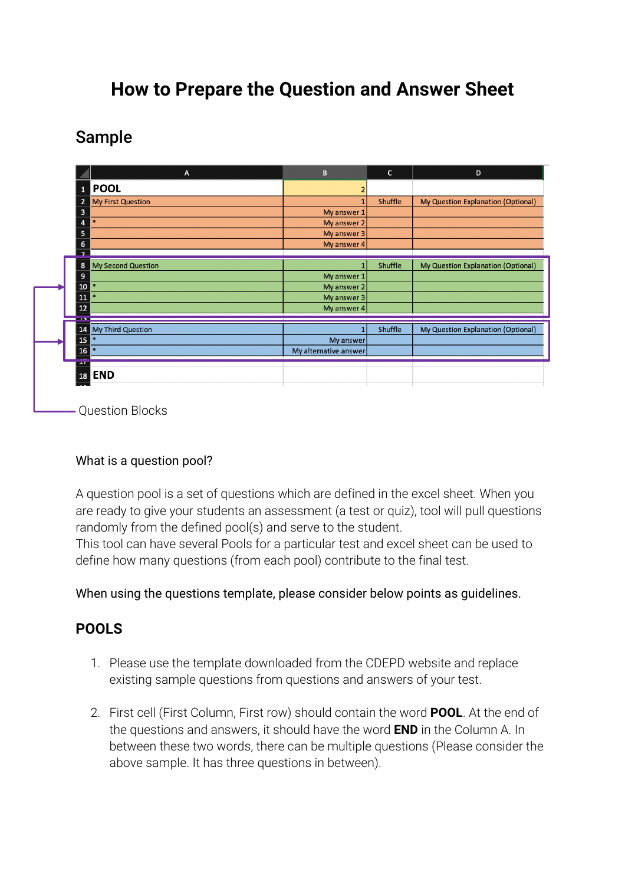# **How to Prepare the Question and Answer Sheet**

Sample

|                         | $\mathsf{A}$              | $\, {\bf B} \,$       | $\mathsf{C}$   | D                                  |
|-------------------------|---------------------------|-----------------------|----------------|------------------------------------|
| $\mathbf{1}$            | <b>POOL</b>               | 2                     |                |                                    |
| $\overline{2}$          | <b>My First Question</b>  |                       | <b>Shuffle</b> | My Question Explanation (Optional) |
| $\overline{\mathbf{3}}$ |                           | My answer 1           |                |                                    |
| 4                       | $\ast$                    | My answer 2           |                |                                    |
| 5                       |                           | My answer 3           |                |                                    |
| 6                       |                           | My answer 4           |                |                                    |
| $\overline{z}$          |                           |                       |                |                                    |
| 8                       | <b>My Second Question</b> |                       | Shuffle        | My Question Explanation (Optional) |
| 9                       |                           | My answer 1           |                |                                    |
| 10                      | $\mathbf{z}$              | My answer 2           |                |                                    |
| 11                      | $\mathbf{z}$              | My answer 3           |                |                                    |
| 12                      |                           | My answer 4           |                |                                    |
| <b>Contact</b>          |                           |                       |                |                                    |
|                         | 14 My Third Question      |                       | Shuffle        | My Question Explanation (Optional) |
| 15                      | $\ast$                    | My answer             |                |                                    |
| 16                      | $\mathbf{z}$              | My alternative answer |                |                                    |
| $\overline{1}$          |                           |                       |                |                                    |
| 18                      | <b>END</b>                |                       |                |                                    |
|                         |                           |                       |                |                                    |

- Question Blocks

### What is a question pool?

A question pool is a set of questions which are defined in the excel sheet. When you are ready to give your students an assessment (a test or quiz), tool will pull questions randomly from the defined pool(s) and serve to the student.

This tool can have several Pools for a particular test and excel sheet can be used to define how many questions (from each pool) contribute to the final test.

When using the questions template, please consider below points as guidelines.

### **POOLS**

- 1. Please use the template downloaded from the CDEPD website and replace existing sample questions from questions and answers of your test.
- 2. First cell (First Column, First row) should contain the word **POOL**. At the end of the questions and answers, it should have the word **END** in the Column A. In between these two words, there can be multiple questions (Please consider the above sample. It has three questions in between).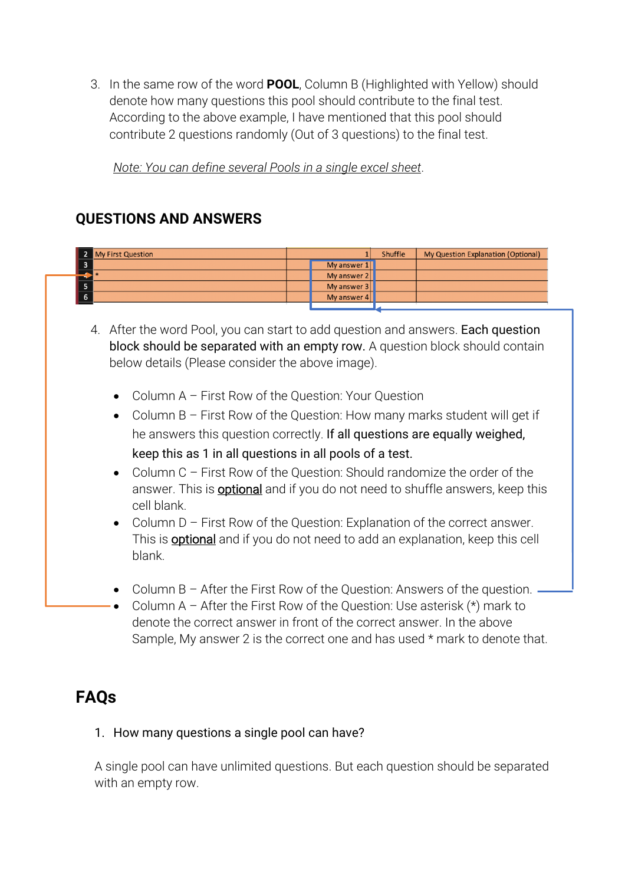3. In the same row of the word **POOL**, Column B (Highlighted with Yellow) should denote how many questions this pool should contribute to the final test. According to the above example, I have mentioned that this pool should contribute 2 questions randomly (Out of 3 questions) to the final test.

*Note: You can define several Pools in a single excel sheet*.

## **QUESTIONS AND ANSWERS**

| 2 My First Question |             | Shuffle | My Question Explanation (Optional) |
|---------------------|-------------|---------|------------------------------------|
|                     | My answer 1 |         |                                    |
|                     | My answer 2 |         |                                    |
|                     | My answer 3 |         |                                    |
|                     | My answer 4 |         |                                    |
|                     |             |         |                                    |

- 4. After the word Pool, you can start to add question and answers. Each question block should be separated with an empty row. A question block should contain below details (Please consider the above image).
	- Column A First Row of the Question: Your Question
	- Column B First Row of the Question: How many marks student will get if he answers this question correctly. If all questions are equally weighed, keep this as 1 in all questions in all pools of a test.
	- Column C First Row of the Question: Should randomize the order of the answer. This is **optional** and if you do not need to shuffle answers, keep this cell blank.
	- Column D First Row of the Question: Explanation of the correct answer. This is **optional** and if you do not need to add an explanation, keep this cell blank.
	- Column B After the First Row of the Question: Answers of the question.
	- Column A After the First Row of the Question: Use asterisk  $(*)$  mark to denote the correct answer in front of the correct answer. In the above Sample, My answer 2 is the correct one and has used \* mark to denote that.

## **FAQs**

1. How many questions a single pool can have?

A single pool can have unlimited questions. But each question should be separated with an empty row.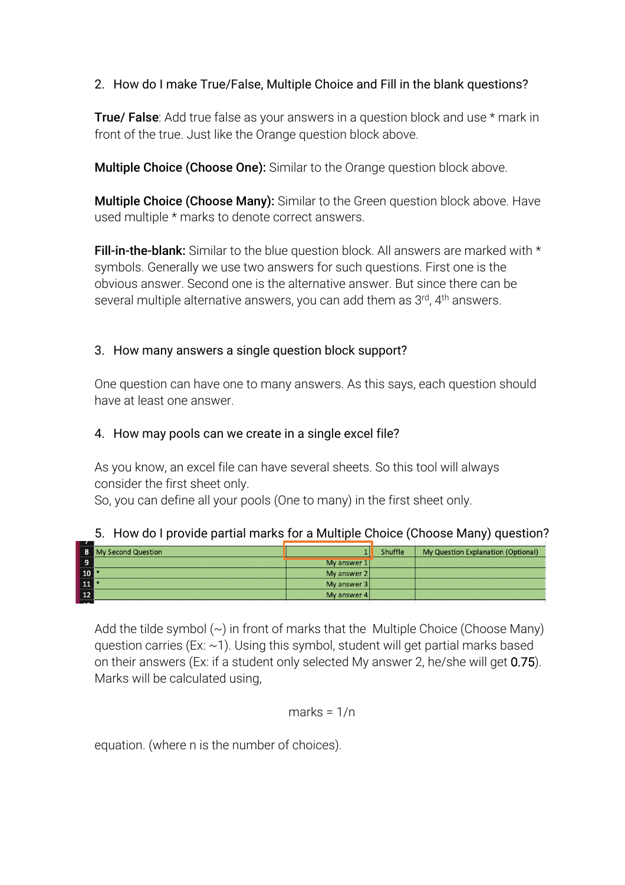### 2. How do I make True/False, Multiple Choice and Fill in the blank questions?

**True/ False**: Add true false as your answers in a question block and use  $*$  mark in front of the true. Just like the Orange question block above.

**Multiple Choice (Choose One):** Similar to the Orange question block above.

Multiple Choice (Choose Many): Similar to the Green question block above. Have used multiple \* marks to denote correct answers.

**Fill-in-the-blank:** Similar to the blue question block. All answers are marked with \* symbols. Generally we use two answers for such questions. First one is the obvious answer. Second one is the alternative answer. But since there can be several multiple alternative answers, you can add them as 3<sup>rd</sup>, 4<sup>th</sup> answers.

### 3. How many answers a single question block support?

One question can have one to many answers. As this says, each question should have at least one answer.

### 4. How may pools can we create in a single excel file?

As you know, an excel file can have several sheets. So this tool will always consider the first sheet only.

So, you can define all your pools (One to many) in the first sheet only.

|                 | 8 My Second Question |             | <b>Shuffle</b> | My Question Explanation (Optional) |
|-----------------|----------------------|-------------|----------------|------------------------------------|
| $\overline{9}$  |                      | My answer 1 |                |                                    |
| 10              |                      | My answer 2 |                |                                    |
| $\frac{11}{1}$  |                      | My answer 3 |                |                                    |
| $\overline{12}$ |                      | My answer 4 |                |                                    |

### 5. How do I provide partial marks for a Multiple Choice (Choose Many) question?

Add the tilde symbol  $(\sim)$  in front of marks that the Multiple Choice (Choose Many) question carries (Ex:  $\sim$ 1). Using this symbol, student will get partial marks based on their answers (Ex: if a student only selected My answer 2, he/she will get 0.75). Marks will be calculated using,

$$
marks = 1/n
$$

equation. (where n is the number of choices).